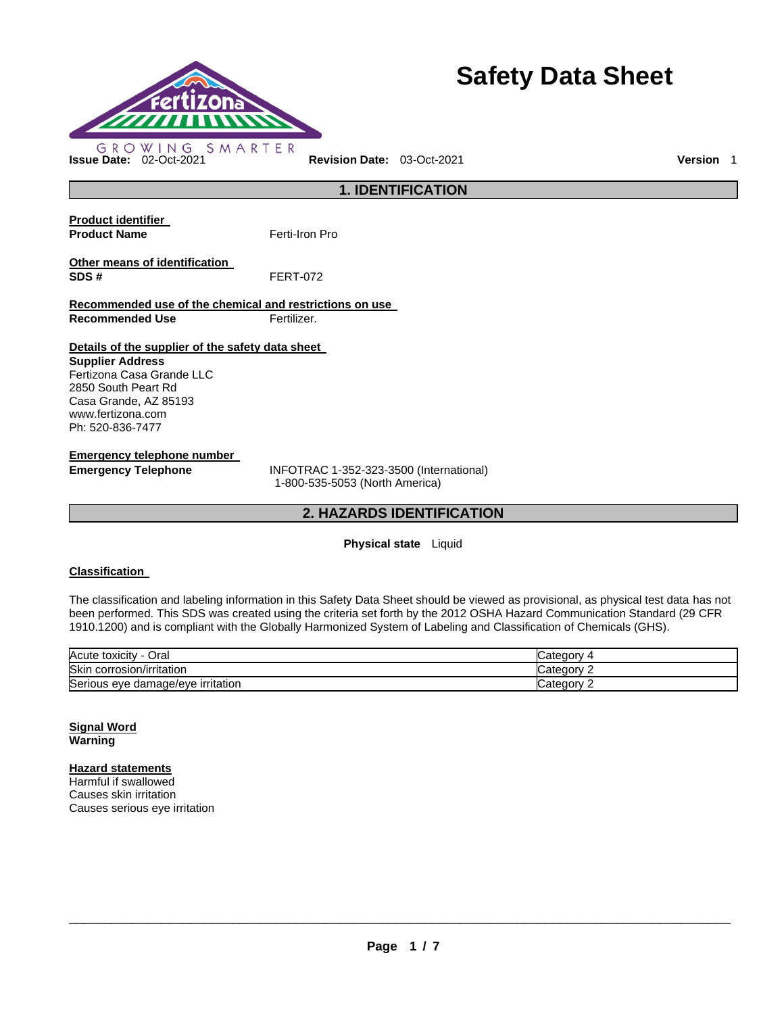

# **Safety Data Sheet**

## **1. IDENTIFICATION Product identifier Product Name Ferti-Iron Pro Other means of identification SDS #** FERT-072 **Recommended use of the chemical and restrictions on use Recommended Use Fertilizer. Details of the supplier of the safety data sheet Supplier Address** Fertizona Casa Grande LLC 2850 South Peart Rd Casa Grande, AZ 85193 www.fertizona.com Ph: 520-836-7477 **Emergency telephone number Emergency Telephone** INFOTRAC 1-352-323-3500 (International)

1-800-535-5053 (North America)

## **2. HAZARDS IDENTIFICATION**

## **Physical state** Liquid

## **Classification**

The classification and labeling information in this Safety Data Sheet should be viewed as provisional, as physical test data has not been performed. This SDS was created using the criteria set forth by the 2012 OSHA Hazard Communication Standard (29 CFR 1910.1200) and is compliant with the Globally Harmonized System of Labeling and Classification of Chemicals (GHS).

| Acute toxicity<br>Oral            | ∵ategorمت |
|-----------------------------------|-----------|
| Skin<br>corrosion/irritation      | ∵ategorمب |
| Serious eye damage/eye irritation | Categor   |

### **Signal Word Warning**

## **Hazard statements**

Harmful if swallowed Causes skin irritation Causes serious eye irritation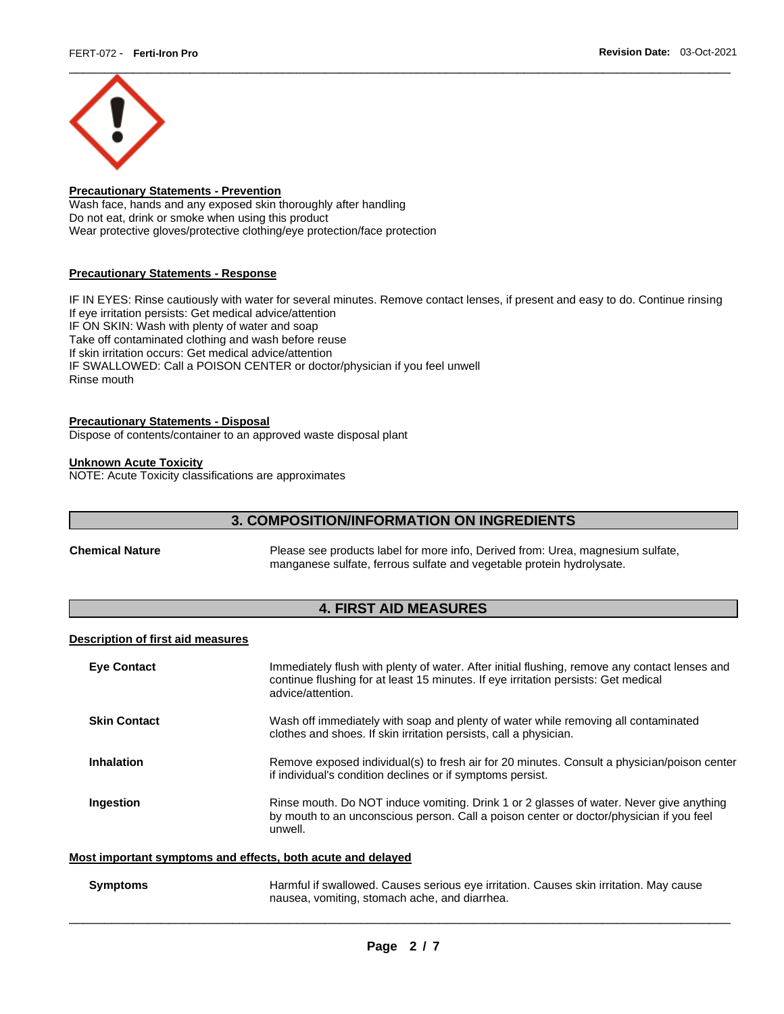

## **Precautionary Statements - Prevention**

Wash face, hands and any exposed skin thoroughly after handling Do not eat, drink or smoke when using this product Wear protective gloves/protective clothing/eye protection/face protection

### **Precautionary Statements - Response**

IF IN EYES: Rinse cautiously with water for several minutes. Remove contact lenses, if present and easy to do. Continue rinsing If eye irritation persists: Get medical advice/attention IF ON SKIN: Wash with plenty of water and soap Take off contaminated clothing and wash before reuse If skin irritation occurs: Get medical advice/attention IF SWALLOWED: Call a POISON CENTER or doctor/physician if you feel unwell Rinse mouth

## **Precautionary Statements - Disposal**

Dispose of contents/container to an approved waste disposal plant

## **Unknown Acute Toxicity**

NOTE: Acute Toxicity classifications are approximates

## **3. COMPOSITION/INFORMATION ON INGREDIENTS**

**Chemical Nature** Please see products label for more info, Derived from: Urea, magnesium sulfate, manganese sulfate, ferrous sulfate and vegetable protein hydrolysate.

## **4. FIRST AID MEASURES**

## **Description of first aid measures**

| <b>Eve Contact</b>  | Immediately flush with plenty of water. After initial flushing, remove any contact lenses and<br>continue flushing for at least 15 minutes. If eye irritation persists: Get medical<br>advice/attention. |
|---------------------|----------------------------------------------------------------------------------------------------------------------------------------------------------------------------------------------------------|
| <b>Skin Contact</b> | Wash off immediately with soap and plenty of water while removing all contaminated<br>clothes and shoes. If skin irritation persists, call a physician.                                                  |
| <b>Inhalation</b>   | Remove exposed individual(s) to fresh air for 20 minutes. Consult a physician/poison center<br>if individual's condition declines or if symptoms persist.                                                |
| Ingestion           | Rinse mouth. Do NOT induce vomiting. Drink 1 or 2 glasses of water. Never give anything<br>by mouth to an unconscious person. Call a poison center or doctor/physician if you feel<br>unwell.            |
|                     | Most important symptoms and effects, both acute and delaved                                                                                                                                              |

\_\_\_\_\_\_\_\_\_\_\_\_\_\_\_\_\_\_\_\_\_\_\_\_\_\_\_\_\_\_\_\_\_\_\_\_\_\_\_\_\_\_\_\_\_\_\_\_\_\_\_\_\_\_\_\_\_\_\_\_\_\_\_\_\_\_\_\_\_\_\_\_\_\_\_\_\_\_\_\_\_\_\_\_\_\_\_\_\_\_\_\_\_

**Symptoms** Harmful if swallowed. Causes serious eye irritation. Causes skin irritation. May cause nausea, vomiting, stomach ache, and diarrhea.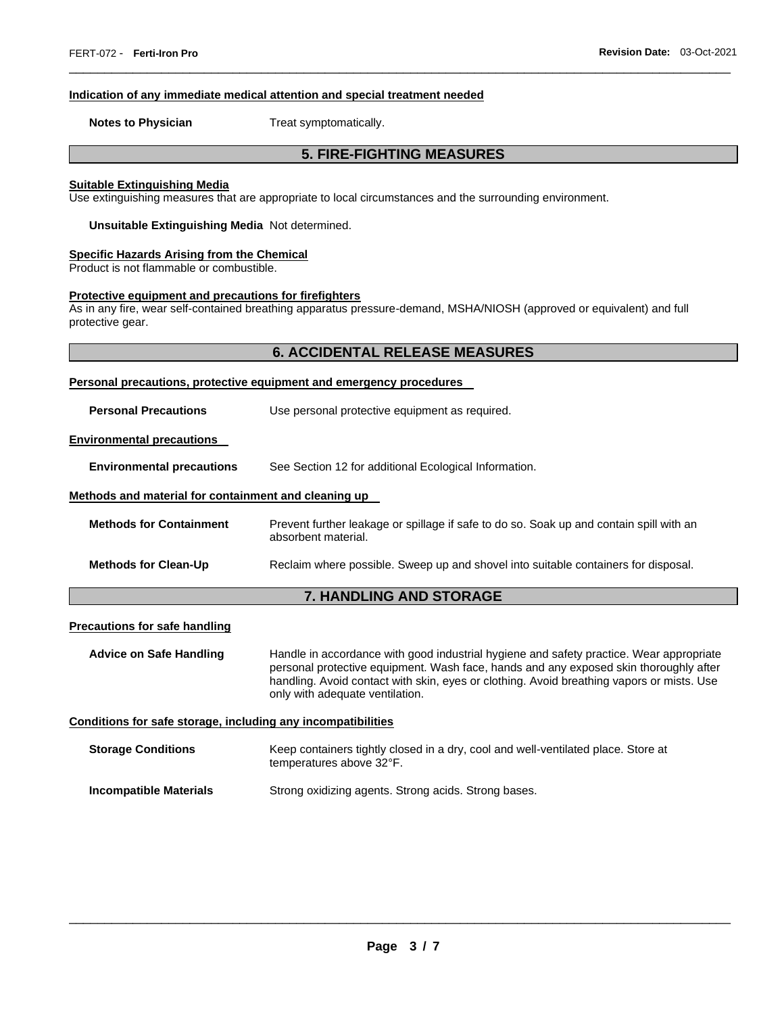#### **Indication of any immediate medical attention and special treatment needed**

**Notes to Physician**  Treat symptomatically.

## **5. FIRE-FIGHTING MEASURES**

\_\_\_\_\_\_\_\_\_\_\_\_\_\_\_\_\_\_\_\_\_\_\_\_\_\_\_\_\_\_\_\_\_\_\_\_\_\_\_\_\_\_\_\_\_\_\_\_\_\_\_\_\_\_\_\_\_\_\_\_\_\_\_\_\_\_\_\_\_\_\_\_\_\_\_\_\_\_\_\_\_\_\_\_\_\_\_\_\_\_\_\_\_

#### **Suitable Extinguishing Media**

Use extinguishing measures that are appropriate to local circumstances and the surrounding environment.

**Unsuitable Extinguishing Media** Not determined.

## **Specific Hazards Arising from the Chemical**

Product is not flammable or combustible.

## **Protective equipment and precautions for firefighters**

As in any fire, wear self-contained breathing apparatus pressure-demand, MSHA/NIOSH (approved or equivalent) and full protective gear.

## **6. ACCIDENTAL RELEASE MEASURES**

| Personal precautions, protective equipment and emergency procedures |                                                |  |  |
|---------------------------------------------------------------------|------------------------------------------------|--|--|
| <b>Personal Precautions</b>                                         | Use personal protective equipment as required. |  |  |

#### **Environmental precautions**

**Environmental precautions** See Section 12 for additional Ecological Information.

### **Methods and material for containment and cleaning up**

| <b>Methods for Containment</b> | Prevent further leakage or spillage if safe to do so. Soak up and contain spill with an<br>absorbent material. |
|--------------------------------|----------------------------------------------------------------------------------------------------------------|
| <b>Methods for Clean-Up</b>    | Reclaim where possible. Sweep up and shovel into suitable containers for disposal.                             |

## **7. HANDLING AND STORAGE**

## **Precautions for safe handling**

**Advice on Safe Handling** Handle in accordance with good industrial hygiene and safety practice. Wear appropriate personal protective equipment. Wash face, hands and any exposed skin thoroughly after handling. Avoid contact with skin, eyes or clothing. Avoid breathing vapors or mists. Use only with adequate ventilation.

#### **Conditions for safe storage, including any incompatibilities**

| <b>Storage Conditions</b> | Keep containers tightly closed in a dry, cool and well-ventilated place. Store at<br>temperatures above 32°F. |
|---------------------------|---------------------------------------------------------------------------------------------------------------|
| Incompatible Materials    | Strong oxidizing agents, Strong acids, Strong bases,                                                          |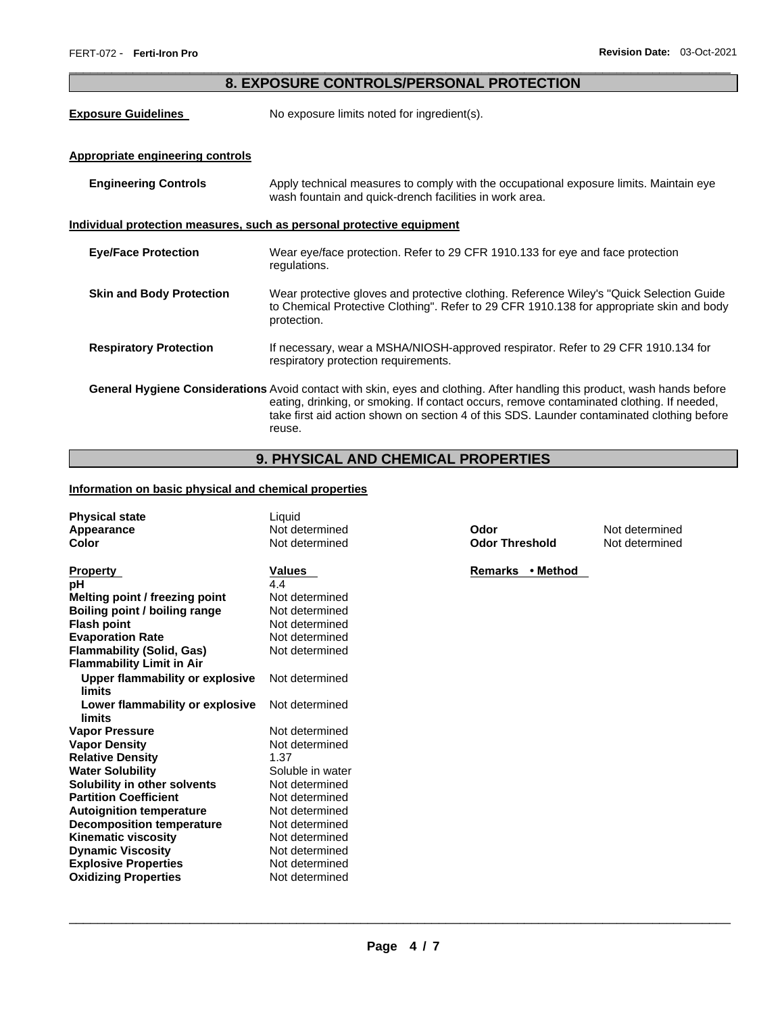## \_\_\_\_\_\_\_\_\_\_\_\_\_\_\_\_\_\_\_\_\_\_\_\_\_\_\_\_\_\_\_\_\_\_\_\_\_\_\_\_\_\_\_\_\_\_\_\_\_\_\_\_\_\_\_\_\_\_\_\_\_\_\_\_\_\_\_\_\_\_\_\_\_\_\_\_\_\_\_\_\_\_\_\_\_\_\_\_\_\_\_\_\_ **8. EXPOSURE CONTROLS/PERSONAL PROTECTION**

**Exposure Guidelines** No exposure limits noted for ingredient(s).

## **Appropriate engineering controls**

| <b>Engineering Controls</b>                                           | Apply technical measures to comply with the occupational exposure limits. Maintain eye<br>wash fountain and quick-drench facilities in work area.                                                                                                                                                                              |  |  |
|-----------------------------------------------------------------------|--------------------------------------------------------------------------------------------------------------------------------------------------------------------------------------------------------------------------------------------------------------------------------------------------------------------------------|--|--|
| Individual protection measures, such as personal protective equipment |                                                                                                                                                                                                                                                                                                                                |  |  |
| <b>Eye/Face Protection</b>                                            | Wear eye/face protection. Refer to 29 CFR 1910.133 for eye and face protection<br>regulations.                                                                                                                                                                                                                                 |  |  |
| <b>Skin and Body Protection</b>                                       | Wear protective gloves and protective clothing. Reference Wiley's "Quick Selection Guide<br>to Chemical Protective Clothing". Refer to 29 CFR 1910.138 for appropriate skin and body<br>protection.                                                                                                                            |  |  |
| <b>Respiratory Protection</b>                                         | If necessary, wear a MSHA/NIOSH-approved respirator. Refer to 29 CFR 1910.134 for<br>respiratory protection requirements.                                                                                                                                                                                                      |  |  |
|                                                                       | General Hygiene Considerations Avoid contact with skin, eyes and clothing. After handling this product, wash hands before<br>eating, drinking, or smoking. If contact occurs, remove contaminated clothing. If needed,<br>take first aid action shown on section 4 of this SDS. Launder contaminated clothing before<br>reuse. |  |  |

## **9. PHYSICAL AND CHEMICAL PROPERTIES**

## **Information on basic physical and chemical properties**

| <b>Physical state</b>            | Liquid           |                       |                |
|----------------------------------|------------------|-----------------------|----------------|
| Appearance                       | Not determined   | Odor                  | Not determined |
| Color                            | Not determined   | <b>Odor Threshold</b> | Not determined |
|                                  |                  |                       |                |
| <b>Property</b>                  | Values           | Remarks • Method      |                |
| рH                               | 4.4              |                       |                |
| Melting point / freezing point   | Not determined   |                       |                |
| Boiling point / boiling range    | Not determined   |                       |                |
| <b>Flash point</b>               | Not determined   |                       |                |
| <b>Evaporation Rate</b>          | Not determined   |                       |                |
| <b>Flammability (Solid, Gas)</b> | Not determined   |                       |                |
| <b>Flammability Limit in Air</b> |                  |                       |                |
| Upper flammability or explosive  | Not determined   |                       |                |
| limits                           |                  |                       |                |
| Lower flammability or explosive  | Not determined   |                       |                |
| limits                           |                  |                       |                |
| <b>Vapor Pressure</b>            | Not determined   |                       |                |
| <b>Vapor Density</b>             | Not determined   |                       |                |
| <b>Relative Density</b>          | 1.37             |                       |                |
| <b>Water Solubility</b>          | Soluble in water |                       |                |
| Solubility in other solvents     | Not determined   |                       |                |
| <b>Partition Coefficient</b>     | Not determined   |                       |                |
| <b>Autoignition temperature</b>  | Not determined   |                       |                |
| <b>Decomposition temperature</b> | Not determined   |                       |                |
| <b>Kinematic viscosity</b>       | Not determined   |                       |                |
| <b>Dynamic Viscosity</b>         | Not determined   |                       |                |
| <b>Explosive Properties</b>      | Not determined   |                       |                |
| <b>Oxidizing Properties</b>      | Not determined   |                       |                |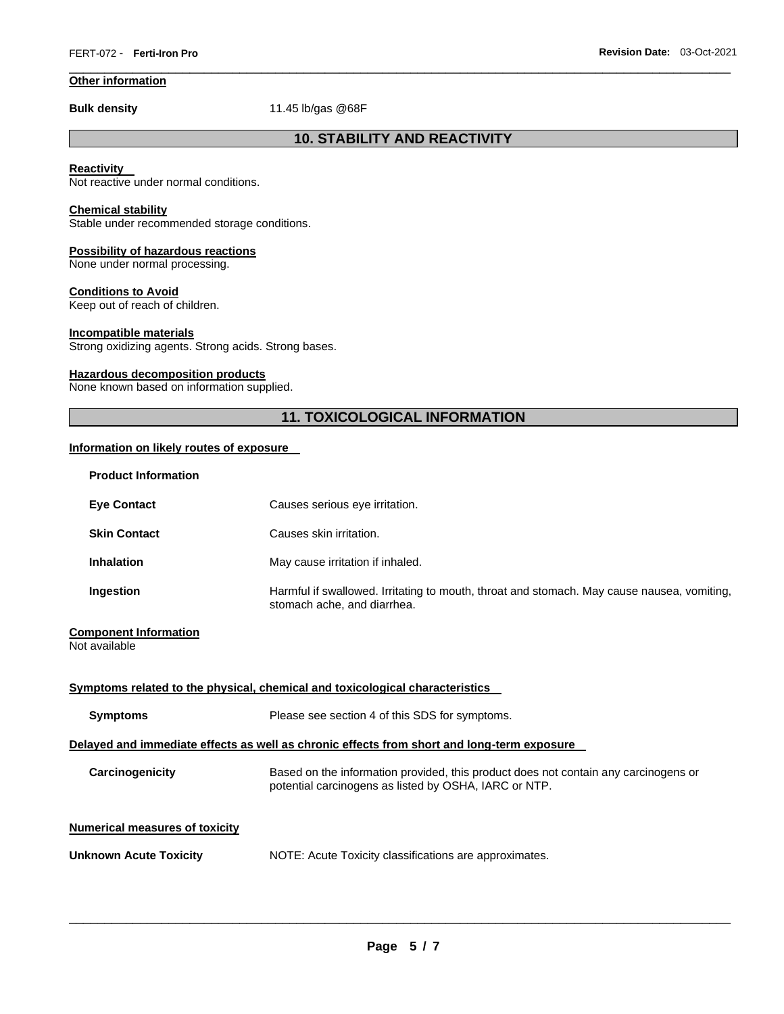## **Other information**

**Bulk density** 11.45 lb/gas @68F

## **10. STABILITY AND REACTIVITY**

\_\_\_\_\_\_\_\_\_\_\_\_\_\_\_\_\_\_\_\_\_\_\_\_\_\_\_\_\_\_\_\_\_\_\_\_\_\_\_\_\_\_\_\_\_\_\_\_\_\_\_\_\_\_\_\_\_\_\_\_\_\_\_\_\_\_\_\_\_\_\_\_\_\_\_\_\_\_\_\_\_\_\_\_\_\_\_\_\_\_\_\_\_

## **Reactivity**

Not reactive under normal conditions.

## **Chemical stability**

Stable under recommended storage conditions.

## **Possibility of hazardous reactions**

None under normal processing.

## **Conditions to Avoid**

Keep out of reach of children.

## **Incompatible materials**

Strong oxidizing agents. Strong acids. Strong bases.

### **Hazardous decomposition products**

None known based on information supplied.

## **11. TOXICOLOGICAL INFORMATION**

## **Information on likely routes of exposure**

| <b>Product Information</b>                                                                 |                                                                                                                                              |  |
|--------------------------------------------------------------------------------------------|----------------------------------------------------------------------------------------------------------------------------------------------|--|
| <b>Eye Contact</b>                                                                         | Causes serious eye irritation.                                                                                                               |  |
| <b>Skin Contact</b>                                                                        | Causes skin irritation.                                                                                                                      |  |
| <b>Inhalation</b>                                                                          | May cause irritation if inhaled.                                                                                                             |  |
| Ingestion                                                                                  | Harmful if swallowed. Irritating to mouth, throat and stomach. May cause nausea, vomiting,<br>stomach ache, and diarrhea.                    |  |
| <b>Component Information</b><br>Not available                                              |                                                                                                                                              |  |
|                                                                                            | Symptoms related to the physical, chemical and toxicological characteristics                                                                 |  |
| <b>Symptoms</b>                                                                            | Please see section 4 of this SDS for symptoms.                                                                                               |  |
| Delayed and immediate effects as well as chronic effects from short and long-term exposure |                                                                                                                                              |  |
| Carcinogenicity                                                                            | Based on the information provided, this product does not contain any carcinogens or<br>potential carcinogens as listed by OSHA, IARC or NTP. |  |
| <b>Numerical measures of toxicity</b>                                                      |                                                                                                                                              |  |
| <b>Unknown Acute Toxicity</b>                                                              | NOTE: Acute Toxicity classifications are approximates.                                                                                       |  |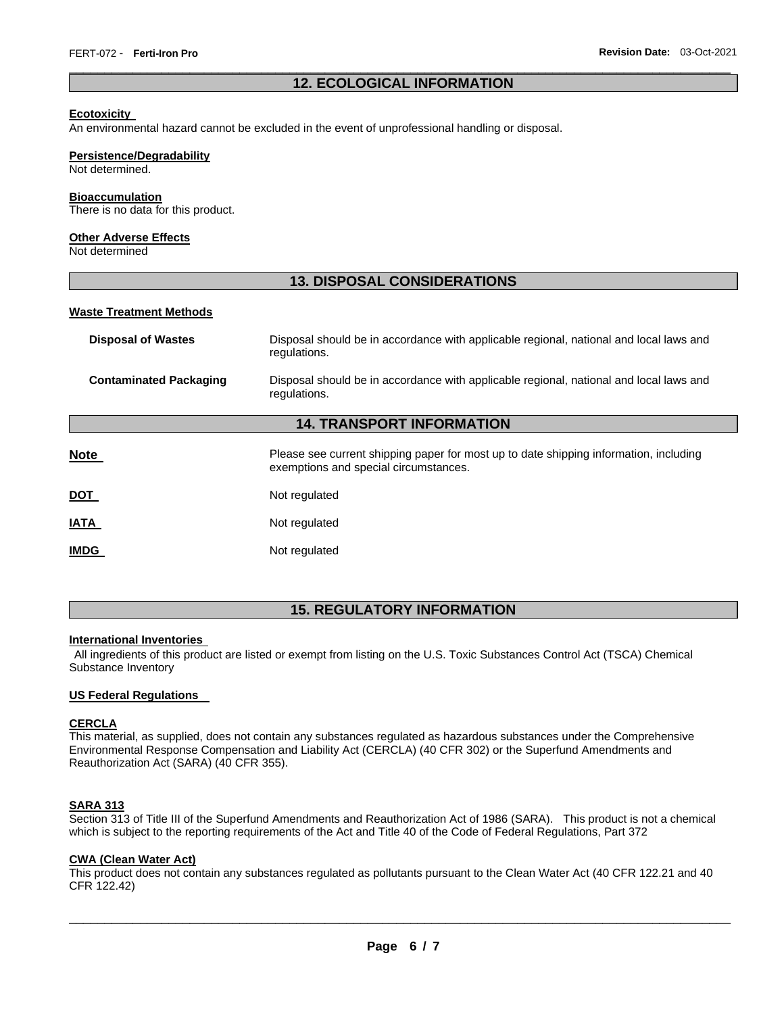## \_\_\_\_\_\_\_\_\_\_\_\_\_\_\_\_\_\_\_\_\_\_\_\_\_\_\_\_\_\_\_\_\_\_\_\_\_\_\_\_\_\_\_\_\_\_\_\_\_\_\_\_\_\_\_\_\_\_\_\_\_\_\_\_\_\_\_\_\_\_\_\_\_\_\_\_\_\_\_\_\_\_\_\_\_\_\_\_\_\_\_\_\_ **12. ECOLOGICAL INFORMATION**

#### **Ecotoxicity**

An environmental hazard cannot be excluded in the event of unprofessional handling or disposal.

#### **Persistence/Degradability**

Not determined.

#### **Bioaccumulation**

There is no data for this product.

#### **Other Adverse Effects**

Not determined

## **13. DISPOSAL CONSIDERATIONS**

## **Waste Treatment Methods**

| <b>Disposal of Wastes</b>        | Disposal should be in accordance with applicable regional, national and local laws and<br>regulations.                         |  |  |
|----------------------------------|--------------------------------------------------------------------------------------------------------------------------------|--|--|
| <b>Contaminated Packaging</b>    | Disposal should be in accordance with applicable regional, national and local laws and<br>regulations.                         |  |  |
| <b>14. TRANSPORT INFORMATION</b> |                                                                                                                                |  |  |
| Note                             | Please see current shipping paper for most up to date shipping information, including<br>exemptions and special circumstances. |  |  |
| DOT                              | Not regulated                                                                                                                  |  |  |
| <b>IATA</b>                      | Not regulated                                                                                                                  |  |  |
| <b>IMDG</b>                      | Not regulated                                                                                                                  |  |  |

## **15. REGULATORY INFORMATION**

### **International Inventories**

All ingredients of this product are listed or exempt from listing on the U.S. Toxic Substances Control Act (TSCA) Chemical Substance Inventory

#### **US Federal Regulations**

## **CERCLA**

This material, as supplied, does not contain any substances regulated as hazardous substances under the Comprehensive Environmental Response Compensation and Liability Act (CERCLA) (40 CFR 302) or the Superfund Amendments and Reauthorization Act (SARA) (40 CFR 355).

## **SARA 313**

Section 313 of Title III of the Superfund Amendments and Reauthorization Act of 1986 (SARA). This product is not a chemical which is subject to the reporting requirements of the Act and Title 40 of the Code of Federal Regulations, Part 372

## **CWA (Clean Water Act)**

This product does not contain any substances regulated as pollutants pursuant to the Clean Water Act (40 CFR 122.21 and 40 CFR 122.42)